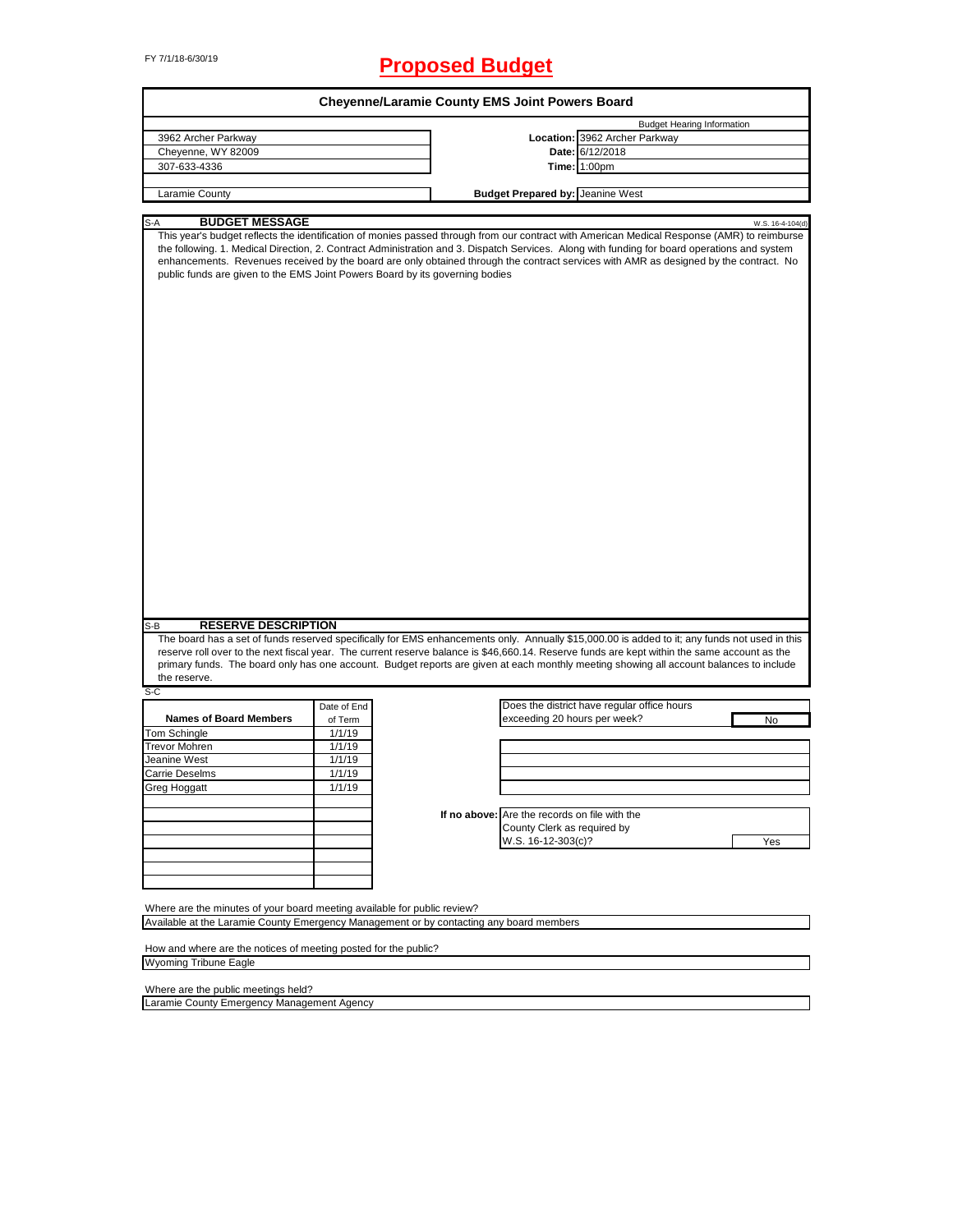# FY 7/1/18-6/30/19 **Proposed Budget**

| <b>Budget Hearing Information</b><br>Location: 3962 Archer Parkway<br>3962 Archer Parkway<br>Date: 6/12/2018<br>Cheyenne, WY 82009<br>307-633-4336<br><b>Time: 1:00pm</b><br><b>Budget Prepared by: Jeanine West</b><br>Laramie County<br><b>BUDGET MESSAGE</b><br>S-A<br>This year's budget reflects the identification of monies passed through from our contract with American Medical Response (AMR) to reimburse<br>the following. 1. Medical Direction, 2. Contract Administration and 3. Dispatch Services. Along with funding for board operations and system<br>enhancements. Revenues received by the board are only obtained through the contract services with AMR as designed by the contract. No<br>public funds are given to the EMS Joint Powers Board by its governing bodies<br><b>RESERVE DESCRIPTION</b><br>$S-B$<br>The board has a set of funds reserved specifically for EMS enhancements only. Annually \$15,000.00 is added to it; any funds not used in this<br>reserve roll over to the next fiscal year. The current reserve balance is \$46,660.14. Reserve funds are kept within the same account as the<br>primary funds. The board only has one account. Budget reports are given at each monthly meeting showing all account balances to include<br>the reserve.<br>S-C<br>Does the district have regular office hours<br>Date of End<br><b>Names of Board Members</b><br>exceeding 20 hours per week?<br>of Term<br>No<br>Tom Schingle<br>1/1/19<br><b>Trevor Mohren</b><br>1/1/19<br>Jeanine West<br>1/1/19<br>1/1/19<br>Carrie Deselms<br><b>Grea Hoanatt</b><br>1/1/19<br>If no above: Are the records on file with the<br>County Clerk as required by<br>W.S. 16-12-303(c)?<br>Yes<br>Where are the minutes of your board meeting available for public review?<br>Available at the Laramie County Emergency Management or by contacting any board members<br>How and where are the notices of meeting posted for the public? |  | Cheyenne/Laramie County EMS Joint Powers Board |  |                  |
|--------------------------------------------------------------------------------------------------------------------------------------------------------------------------------------------------------------------------------------------------------------------------------------------------------------------------------------------------------------------------------------------------------------------------------------------------------------------------------------------------------------------------------------------------------------------------------------------------------------------------------------------------------------------------------------------------------------------------------------------------------------------------------------------------------------------------------------------------------------------------------------------------------------------------------------------------------------------------------------------------------------------------------------------------------------------------------------------------------------------------------------------------------------------------------------------------------------------------------------------------------------------------------------------------------------------------------------------------------------------------------------------------------------------------------------------------------------------------------------------------------------------------------------------------------------------------------------------------------------------------------------------------------------------------------------------------------------------------------------------------------------------------------------------------------------------------------------------------------------------------------------------------------------------------------------------------------------------|--|------------------------------------------------|--|------------------|
|                                                                                                                                                                                                                                                                                                                                                                                                                                                                                                                                                                                                                                                                                                                                                                                                                                                                                                                                                                                                                                                                                                                                                                                                                                                                                                                                                                                                                                                                                                                                                                                                                                                                                                                                                                                                                                                                                                                                                                    |  |                                                |  |                  |
|                                                                                                                                                                                                                                                                                                                                                                                                                                                                                                                                                                                                                                                                                                                                                                                                                                                                                                                                                                                                                                                                                                                                                                                                                                                                                                                                                                                                                                                                                                                                                                                                                                                                                                                                                                                                                                                                                                                                                                    |  |                                                |  |                  |
|                                                                                                                                                                                                                                                                                                                                                                                                                                                                                                                                                                                                                                                                                                                                                                                                                                                                                                                                                                                                                                                                                                                                                                                                                                                                                                                                                                                                                                                                                                                                                                                                                                                                                                                                                                                                                                                                                                                                                                    |  |                                                |  |                  |
|                                                                                                                                                                                                                                                                                                                                                                                                                                                                                                                                                                                                                                                                                                                                                                                                                                                                                                                                                                                                                                                                                                                                                                                                                                                                                                                                                                                                                                                                                                                                                                                                                                                                                                                                                                                                                                                                                                                                                                    |  |                                                |  |                  |
|                                                                                                                                                                                                                                                                                                                                                                                                                                                                                                                                                                                                                                                                                                                                                                                                                                                                                                                                                                                                                                                                                                                                                                                                                                                                                                                                                                                                                                                                                                                                                                                                                                                                                                                                                                                                                                                                                                                                                                    |  |                                                |  |                  |
|                                                                                                                                                                                                                                                                                                                                                                                                                                                                                                                                                                                                                                                                                                                                                                                                                                                                                                                                                                                                                                                                                                                                                                                                                                                                                                                                                                                                                                                                                                                                                                                                                                                                                                                                                                                                                                                                                                                                                                    |  |                                                |  |                  |
|                                                                                                                                                                                                                                                                                                                                                                                                                                                                                                                                                                                                                                                                                                                                                                                                                                                                                                                                                                                                                                                                                                                                                                                                                                                                                                                                                                                                                                                                                                                                                                                                                                                                                                                                                                                                                                                                                                                                                                    |  |                                                |  | W.S. 16-4-104(d) |
|                                                                                                                                                                                                                                                                                                                                                                                                                                                                                                                                                                                                                                                                                                                                                                                                                                                                                                                                                                                                                                                                                                                                                                                                                                                                                                                                                                                                                                                                                                                                                                                                                                                                                                                                                                                                                                                                                                                                                                    |  |                                                |  |                  |
|                                                                                                                                                                                                                                                                                                                                                                                                                                                                                                                                                                                                                                                                                                                                                                                                                                                                                                                                                                                                                                                                                                                                                                                                                                                                                                                                                                                                                                                                                                                                                                                                                                                                                                                                                                                                                                                                                                                                                                    |  |                                                |  |                  |
|                                                                                                                                                                                                                                                                                                                                                                                                                                                                                                                                                                                                                                                                                                                                                                                                                                                                                                                                                                                                                                                                                                                                                                                                                                                                                                                                                                                                                                                                                                                                                                                                                                                                                                                                                                                                                                                                                                                                                                    |  |                                                |  |                  |
|                                                                                                                                                                                                                                                                                                                                                                                                                                                                                                                                                                                                                                                                                                                                                                                                                                                                                                                                                                                                                                                                                                                                                                                                                                                                                                                                                                                                                                                                                                                                                                                                                                                                                                                                                                                                                                                                                                                                                                    |  |                                                |  |                  |
|                                                                                                                                                                                                                                                                                                                                                                                                                                                                                                                                                                                                                                                                                                                                                                                                                                                                                                                                                                                                                                                                                                                                                                                                                                                                                                                                                                                                                                                                                                                                                                                                                                                                                                                                                                                                                                                                                                                                                                    |  |                                                |  |                  |
|                                                                                                                                                                                                                                                                                                                                                                                                                                                                                                                                                                                                                                                                                                                                                                                                                                                                                                                                                                                                                                                                                                                                                                                                                                                                                                                                                                                                                                                                                                                                                                                                                                                                                                                                                                                                                                                                                                                                                                    |  |                                                |  |                  |
|                                                                                                                                                                                                                                                                                                                                                                                                                                                                                                                                                                                                                                                                                                                                                                                                                                                                                                                                                                                                                                                                                                                                                                                                                                                                                                                                                                                                                                                                                                                                                                                                                                                                                                                                                                                                                                                                                                                                                                    |  |                                                |  |                  |
|                                                                                                                                                                                                                                                                                                                                                                                                                                                                                                                                                                                                                                                                                                                                                                                                                                                                                                                                                                                                                                                                                                                                                                                                                                                                                                                                                                                                                                                                                                                                                                                                                                                                                                                                                                                                                                                                                                                                                                    |  |                                                |  |                  |
|                                                                                                                                                                                                                                                                                                                                                                                                                                                                                                                                                                                                                                                                                                                                                                                                                                                                                                                                                                                                                                                                                                                                                                                                                                                                                                                                                                                                                                                                                                                                                                                                                                                                                                                                                                                                                                                                                                                                                                    |  |                                                |  |                  |
|                                                                                                                                                                                                                                                                                                                                                                                                                                                                                                                                                                                                                                                                                                                                                                                                                                                                                                                                                                                                                                                                                                                                                                                                                                                                                                                                                                                                                                                                                                                                                                                                                                                                                                                                                                                                                                                                                                                                                                    |  |                                                |  |                  |
|                                                                                                                                                                                                                                                                                                                                                                                                                                                                                                                                                                                                                                                                                                                                                                                                                                                                                                                                                                                                                                                                                                                                                                                                                                                                                                                                                                                                                                                                                                                                                                                                                                                                                                                                                                                                                                                                                                                                                                    |  |                                                |  |                  |
|                                                                                                                                                                                                                                                                                                                                                                                                                                                                                                                                                                                                                                                                                                                                                                                                                                                                                                                                                                                                                                                                                                                                                                                                                                                                                                                                                                                                                                                                                                                                                                                                                                                                                                                                                                                                                                                                                                                                                                    |  |                                                |  |                  |
|                                                                                                                                                                                                                                                                                                                                                                                                                                                                                                                                                                                                                                                                                                                                                                                                                                                                                                                                                                                                                                                                                                                                                                                                                                                                                                                                                                                                                                                                                                                                                                                                                                                                                                                                                                                                                                                                                                                                                                    |  |                                                |  |                  |
|                                                                                                                                                                                                                                                                                                                                                                                                                                                                                                                                                                                                                                                                                                                                                                                                                                                                                                                                                                                                                                                                                                                                                                                                                                                                                                                                                                                                                                                                                                                                                                                                                                                                                                                                                                                                                                                                                                                                                                    |  |                                                |  |                  |
|                                                                                                                                                                                                                                                                                                                                                                                                                                                                                                                                                                                                                                                                                                                                                                                                                                                                                                                                                                                                                                                                                                                                                                                                                                                                                                                                                                                                                                                                                                                                                                                                                                                                                                                                                                                                                                                                                                                                                                    |  |                                                |  |                  |
|                                                                                                                                                                                                                                                                                                                                                                                                                                                                                                                                                                                                                                                                                                                                                                                                                                                                                                                                                                                                                                                                                                                                                                                                                                                                                                                                                                                                                                                                                                                                                                                                                                                                                                                                                                                                                                                                                                                                                                    |  |                                                |  |                  |
|                                                                                                                                                                                                                                                                                                                                                                                                                                                                                                                                                                                                                                                                                                                                                                                                                                                                                                                                                                                                                                                                                                                                                                                                                                                                                                                                                                                                                                                                                                                                                                                                                                                                                                                                                                                                                                                                                                                                                                    |  |                                                |  |                  |
|                                                                                                                                                                                                                                                                                                                                                                                                                                                                                                                                                                                                                                                                                                                                                                                                                                                                                                                                                                                                                                                                                                                                                                                                                                                                                                                                                                                                                                                                                                                                                                                                                                                                                                                                                                                                                                                                                                                                                                    |  |                                                |  |                  |
|                                                                                                                                                                                                                                                                                                                                                                                                                                                                                                                                                                                                                                                                                                                                                                                                                                                                                                                                                                                                                                                                                                                                                                                                                                                                                                                                                                                                                                                                                                                                                                                                                                                                                                                                                                                                                                                                                                                                                                    |  |                                                |  |                  |
|                                                                                                                                                                                                                                                                                                                                                                                                                                                                                                                                                                                                                                                                                                                                                                                                                                                                                                                                                                                                                                                                                                                                                                                                                                                                                                                                                                                                                                                                                                                                                                                                                                                                                                                                                                                                                                                                                                                                                                    |  |                                                |  |                  |

٦

Where are the public meetings held?

Laramie County Emergency Management Agency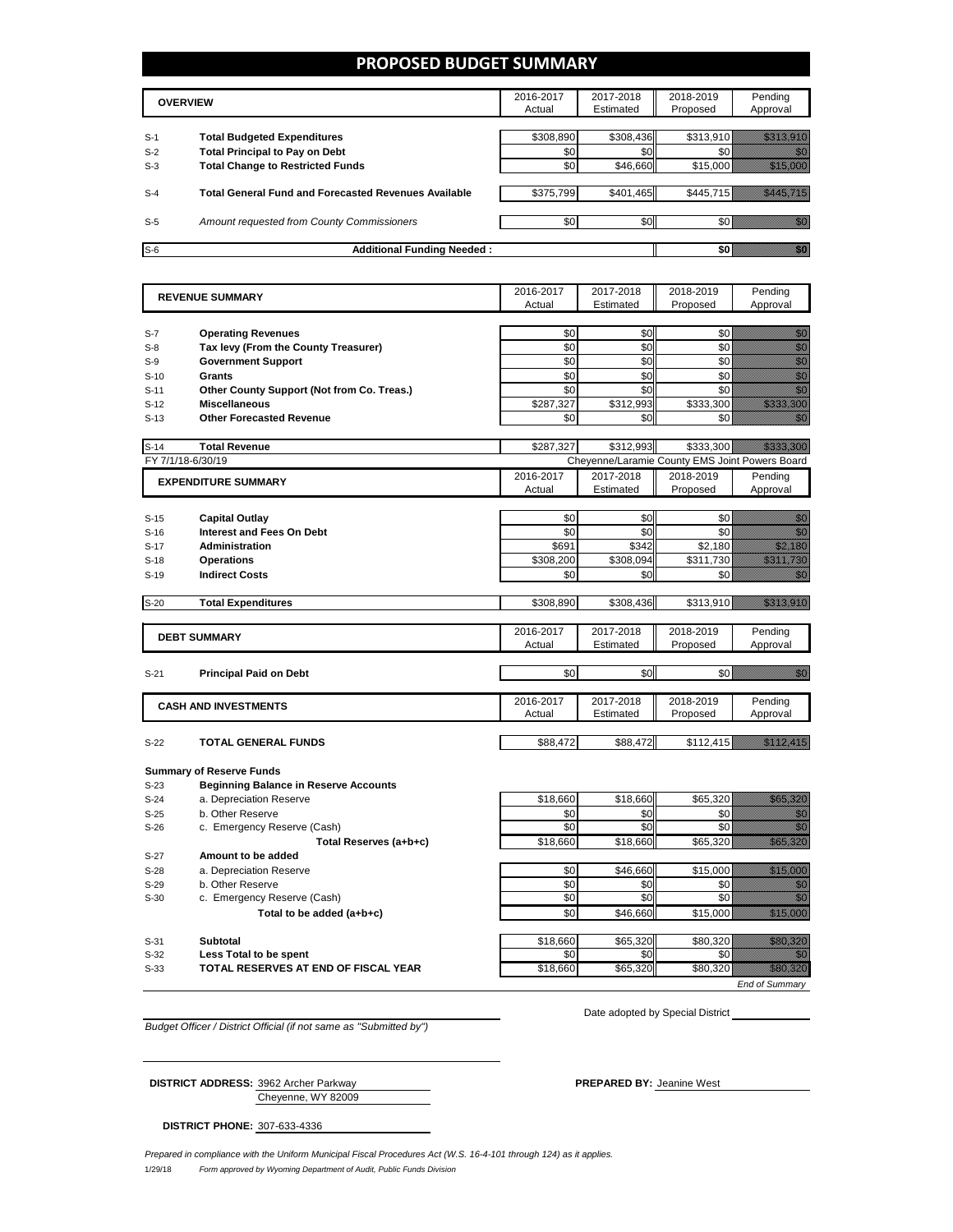### **PROPOSED BUDGET SUMMARY**

|       | <b>OVERVIEW</b>                                             |           | 2017-2018<br>Estimated | 2018-2019<br>Proposed | Pending<br>Approval |
|-------|-------------------------------------------------------------|-----------|------------------------|-----------------------|---------------------|
| $S-1$ | <b>Total Budgeted Expenditures</b>                          | \$308.890 | \$308,436              | \$313,910             |                     |
| $S-2$ | <b>Total Principal to Pay on Debt</b>                       | \$0       | \$0                    |                       |                     |
| $S-3$ | <b>Total Change to Restricted Funds</b>                     | \$0       | \$46,660               | \$15,000              |                     |
| $S-4$ | <b>Total General Fund and Forecasted Revenues Available</b> | \$375,799 | \$401,465              | \$445.715             |                     |
| $S-5$ | Amount requested from County Commissioners                  | \$0       | \$0                    |                       |                     |
| $S-6$ | <b>Additional Funding Needed:</b>                           |           |                        |                       |                     |

|        | <b>REVENUE SUMMARY</b>                       | 2016-2017 | 2017-2018 | 2018-2019                                      | Pending                                                                                                                                                                                                                          |
|--------|----------------------------------------------|-----------|-----------|------------------------------------------------|----------------------------------------------------------------------------------------------------------------------------------------------------------------------------------------------------------------------------------|
|        |                                              | Actual    | Estimated | Proposed                                       | Approval                                                                                                                                                                                                                         |
|        |                                              |           |           |                                                |                                                                                                                                                                                                                                  |
| $S-7$  | <b>Operating Revenues</b>                    | \$0       | \$0       | \$0                                            | en de la filosofia<br>Galiado                                                                                                                                                                                                    |
| $S-8$  | Tax levy (From the County Treasurer)         | \$0       | \$0       | \$0                                            | e de la construcción de la construcción de la construcción de la construcción de la construcción de la construcción de la construcción de la construcción de la construcción de la construcción de la construcción de la const   |
| $S-9$  | <b>Government Support</b>                    | \$0       | \$0       | \$0                                            |                                                                                                                                                                                                                                  |
| $S-10$ | Grants                                       | \$0       | \$0       | \$0                                            | ann<br>Màr                                                                                                                                                                                                                       |
| $S-11$ | Other County Support (Not from Co. Treas.)   | \$0       | \$0       | \$0                                            | en de la familie de la familie de la familie de la familie de la familie de la familie de la familie de la fam<br>Constituit de la familie de la familie de la familie de la familie de la familie de la familie de la familie d |
| $S-12$ | <b>Miscellaneous</b>                         | \$287,327 | \$312,993 | \$333,300                                      | a katalunggal sa katalunggal sa katalunggal sa katalunggal sa katalunggal sa katalunggal sa katalunggal sa kat                                                                                                                   |
| $S-13$ | <b>Other Forecasted Revenue</b>              | \$0       | \$0       | \$0                                            |                                                                                                                                                                                                                                  |
|        |                                              |           |           |                                                |                                                                                                                                                                                                                                  |
| $S-14$ | <b>Total Revenue</b>                         | \$287,327 | \$312,993 | \$333,300                                      | <u>istorialistik</u>                                                                                                                                                                                                             |
|        | FY 7/1/18-6/30/19                            |           |           | Cheyenne/Laramie County EMS Joint Powers Board |                                                                                                                                                                                                                                  |
|        | <b>EXPENDITURE SUMMARY</b>                   | 2016-2017 | 2017-2018 | 2018-2019                                      | Pending                                                                                                                                                                                                                          |
|        |                                              | Actual    | Estimated | Proposed                                       | Approval                                                                                                                                                                                                                         |
|        |                                              |           |           |                                                |                                                                                                                                                                                                                                  |
| $S-15$ | <b>Capital Outlay</b>                        | \$0       | \$0       | \$0                                            | an di Kabupatén Bandungan Kabupatén Kabu                                                                                                                                                                                         |
| $S-16$ | <b>Interest and Fees On Debt</b>             | \$0       | \$0       | \$0                                            | en de la familie de la familie de la familie de la familie de la familie de la familie de la familie de la fam<br>De la familie de la familie de la familie de la familie de la familie de la familie de la familie de la famili |
| $S-17$ | <b>Administration</b>                        | \$691     | \$342     | \$2,180                                        | <u> Million S</u>                                                                                                                                                                                                                |
| $S-18$ | <b>Operations</b>                            | \$308,200 | \$308,094 | \$311,730                                      | <u>Timo na p</u>                                                                                                                                                                                                                 |
| $S-19$ | <b>Indirect Costs</b>                        | \$0       | \$0       | \$0                                            | 20                                                                                                                                                                                                                               |
|        |                                              |           |           |                                                |                                                                                                                                                                                                                                  |
| $S-20$ | <b>Total Expenditures</b>                    | \$308,890 | \$308,436 | \$313,910                                      |                                                                                                                                                                                                                                  |
|        |                                              |           |           |                                                |                                                                                                                                                                                                                                  |
|        | <b>DEBT SUMMARY</b>                          | 2016-2017 | 2017-2018 | 2018-2019                                      | Pending                                                                                                                                                                                                                          |
|        |                                              | Actual    | Estimated | Proposed                                       | Approval                                                                                                                                                                                                                         |
|        |                                              |           |           |                                                |                                                                                                                                                                                                                                  |
| $S-21$ | <b>Principal Paid on Debt</b>                | \$0       | \$0       | \$0                                            | ,,                                                                                                                                                                                                                               |
|        |                                              |           |           |                                                |                                                                                                                                                                                                                                  |
|        | <b>CASH AND INVESTMENTS</b>                  | 2016-2017 | 2017-2018 | 2018-2019                                      | Pending                                                                                                                                                                                                                          |
|        |                                              | Actual    | Estimated | Proposed                                       | Approval                                                                                                                                                                                                                         |
| $S-22$ | <b>TOTAL GENERAL FUNDS</b>                   | \$88,472  | \$88,472  | \$112,415                                      |                                                                                                                                                                                                                                  |
|        |                                              |           |           |                                                |                                                                                                                                                                                                                                  |
|        | <b>Summary of Reserve Funds</b>              |           |           |                                                |                                                                                                                                                                                                                                  |
| $S-23$ | <b>Beginning Balance in Reserve Accounts</b> |           |           |                                                |                                                                                                                                                                                                                                  |
| $S-24$ | a. Depreciation Reserve                      | \$18,660  | \$18,660  | \$65,320                                       | <u> Karl Sara</u>                                                                                                                                                                                                                |
| $S-25$ | b. Other Reserve                             | \$0       | \$0       | \$0                                            | en de la filòlogía<br>Contradición                                                                                                                                                                                               |
| $S-26$ | c. Emergency Reserve (Cash)                  | \$0       | \$0       | \$0                                            | en de la familie de la familie de la familie de la familie de la familie de la familie de la familie de la fam<br>Constitution de la familie de la familie de la familie de la familie de la familie de la familie de la familie |
|        |                                              | \$18,660  | \$18,660  | \$65,320                                       | <u> Harrison (</u>                                                                                                                                                                                                               |
|        | Total Reserves (a+b+c)                       |           |           |                                                |                                                                                                                                                                                                                                  |
| $S-27$ | Amount to be added                           |           |           |                                                |                                                                                                                                                                                                                                  |
| $S-28$ | a. Depreciation Reserve                      | \$0       | \$46,660  | \$15,000                                       | <u> Hillinger o</u>                                                                                                                                                                                                              |
| $S-29$ | b. Other Reserve                             | \$0       | \$0       | \$0                                            | en de la filosofia<br>Galiador                                                                                                                                                                                                   |
| $S-30$ | c. Emergency Reserve (Cash)                  | \$0       | \$0       | \$0                                            | en de la familie de la familie de la familie de la familie de la familie de la familie de la familie de la fam<br>Constituit de la familie de la familie de la familie de la familie de la familie de la familie de la familie d |
|        | Total to be added (a+b+c)                    | \$0       | \$46.660  | \$15,000                                       | <u>mikuu ku</u>                                                                                                                                                                                                                  |
|        |                                              |           |           |                                                |                                                                                                                                                                                                                                  |
| $S-31$ | Subtotal                                     | \$18,660  | \$65.320  | \$80.320                                       | <u>maania k</u>                                                                                                                                                                                                                  |
| $S-32$ | Less Total to be spent                       | \$0       | \$0       | \$0                                            |                                                                                                                                                                                                                                  |

**S-33 TOTAL RESERVES AT END OF FISCAL YEAR THE STATE STATE SECTION \$65,320** \$80,320 \$80,320

Date adopted by Special District

*End of Summary*

*Budget Officer / District Official (if not same as "Submitted by")*

Cheyenne, WY 82009

**DISTRICT ADDRESS:** 3962 Archer Parkway **PREPARED BY:** Jeanine West

**DISTRICT PHONE:** 307-633-4336

1/29/18 *Form approved by Wyoming Department of Audit, Public Funds Division Prepared in compliance with the Uniform Municipal Fiscal Procedures Act (W.S. 16-4-101 through 124) as it applies.*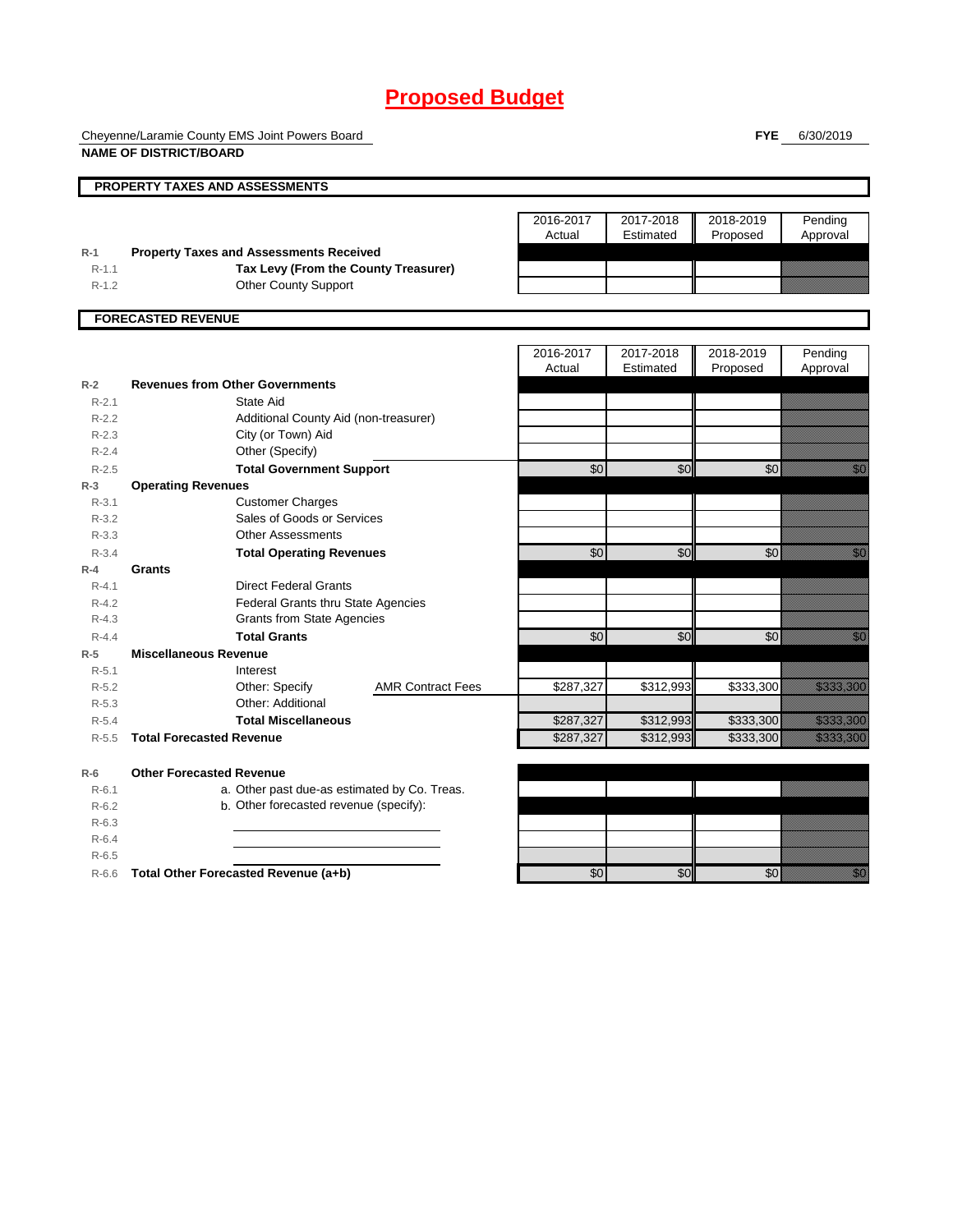# **Proposed Budget**

Cheyenne/Laramie County EMS Joint Powers Board **NAME OF DISTRICT/BOARD**

**FYE** 6/30/2019

|           | <b>PROPERTY TAXES AND ASSESSMENTS</b>          |                          |                     |                        |           |                                                                                                                                                                                                                                 |
|-----------|------------------------------------------------|--------------------------|---------------------|------------------------|-----------|---------------------------------------------------------------------------------------------------------------------------------------------------------------------------------------------------------------------------------|
|           |                                                |                          |                     |                        |           |                                                                                                                                                                                                                                 |
|           |                                                |                          | 2016-2017           | 2017-2018              | 2018-2019 | Pending                                                                                                                                                                                                                         |
|           |                                                |                          | Actual              | Estimated              | Proposed  | Approval                                                                                                                                                                                                                        |
| $R-1$     | <b>Property Taxes and Assessments Received</b> |                          |                     |                        |           |                                                                                                                                                                                                                                 |
| $R-1.1$   | Tax Levy (From the County Treasurer)           |                          |                     |                        |           |                                                                                                                                                                                                                                 |
| $R - 1.2$ | <b>Other County Support</b>                    |                          |                     |                        |           |                                                                                                                                                                                                                                 |
|           |                                                |                          |                     |                        |           |                                                                                                                                                                                                                                 |
|           | <b>FORECASTED REVENUE</b>                      |                          |                     |                        |           |                                                                                                                                                                                                                                 |
|           |                                                |                          |                     |                        |           |                                                                                                                                                                                                                                 |
|           |                                                |                          | 2016-2017<br>Actual | 2017-2018<br>Estimated | 2018-2019 | Pending                                                                                                                                                                                                                         |
| $R-2$     | <b>Revenues from Other Governments</b>         |                          |                     |                        | Proposed  | Approval                                                                                                                                                                                                                        |
| $R - 2.1$ | State Aid                                      |                          |                     |                        |           |                                                                                                                                                                                                                                 |
| $R-2.2$   |                                                |                          |                     |                        |           |                                                                                                                                                                                                                                 |
| $R - 2.3$ | Additional County Aid (non-treasurer)          |                          |                     |                        |           |                                                                                                                                                                                                                                 |
| $R-2.4$   | City (or Town) Aid<br>Other (Specify)          |                          |                     |                        |           |                                                                                                                                                                                                                                 |
| $R - 2.5$ | <b>Total Government Support</b>                |                          | \$0                 | \$0                    | \$0       | en de la filosofia<br>Altres de la filosofia                                                                                                                                                                                    |
| $R-3$     | <b>Operating Revenues</b>                      |                          |                     |                        |           |                                                                                                                                                                                                                                 |
| $R-3.1$   | <b>Customer Charges</b>                        |                          |                     |                        |           |                                                                                                                                                                                                                                 |
| $R - 3.2$ | Sales of Goods or Services                     |                          |                     |                        |           |                                                                                                                                                                                                                                 |
| $R - 3.3$ | <b>Other Assessments</b>                       |                          |                     |                        |           |                                                                                                                                                                                                                                 |
| $R - 3.4$ | <b>Total Operating Revenues</b>                |                          | \$0                 | $\overline{50}$        | \$0       | <u> Kal</u>                                                                                                                                                                                                                     |
| $R-4$     | Grants                                         |                          |                     |                        |           |                                                                                                                                                                                                                                 |
| $R - 4.1$ | <b>Direct Federal Grants</b>                   |                          |                     |                        |           |                                                                                                                                                                                                                                 |
| $R - 4.2$ | Federal Grants thru State Agencies             |                          |                     |                        |           |                                                                                                                                                                                                                                 |
| $R - 4.3$ | <b>Grants from State Agencies</b>              |                          |                     |                        |           |                                                                                                                                                                                                                                 |
| $R - 4.4$ | <b>Total Grants</b>                            |                          | \$0                 | \$0                    | \$0       | en de la facta de la facta de la facta de la facta de la facta de la facta de la facta de la facta de la facta<br>Constituir de la facta de la facta de la facta de la facta de la facta de la facta de la facta de la facta de |
| $R-5$     | <b>Miscellaneous Revenue</b>                   |                          |                     |                        |           |                                                                                                                                                                                                                                 |
| $R - 5.1$ | Interest                                       |                          |                     |                        |           |                                                                                                                                                                                                                                 |
| $R - 5.2$ | Other: Specify                                 | <b>AMR Contract Fees</b> | \$287,327           | \$312,993              | \$333,300 | <u> Harristan Sa</u>                                                                                                                                                                                                            |
| $R - 5.3$ | Other: Additional                              |                          |                     |                        |           |                                                                                                                                                                                                                                 |
| $R - 5.4$ | <b>Total Miscellaneous</b>                     |                          | \$287,327           | \$312,993              | \$333,300 | <u> Kalendaria (</u>                                                                                                                                                                                                            |
| $R - 5.5$ | <b>Total Forecasted Revenue</b>                |                          | \$287,327           | \$312,993              | \$333,300 | <u> Kabupatèn Ta</u>                                                                                                                                                                                                            |
|           |                                                |                          |                     |                        |           |                                                                                                                                                                                                                                 |
| $R-6$     | <b>Other Forecasted Revenue</b>                |                          |                     |                        |           |                                                                                                                                                                                                                                 |
| $R-6.1$   | a. Other past due-as estimated by Co. Treas.   |                          |                     |                        |           |                                                                                                                                                                                                                                 |
| $R-6.2$   | b. Other forecasted revenue (specify):         |                          |                     |                        |           |                                                                                                                                                                                                                                 |
| $R-6.3$   |                                                |                          |                     |                        |           |                                                                                                                                                                                                                                 |
| $R-6.4$   |                                                |                          |                     |                        |           |                                                                                                                                                                                                                                 |
| $R-6.5$   |                                                |                          |                     |                        |           |                                                                                                                                                                                                                                 |
| $R-6.6$   | Total Other Forecasted Revenue (a+b)           |                          | \$0                 | \$0                    | \$0       | en de la familie de la familie de la familie de la familie de la familie de la familie de la familie de la fa<br>Constitution de la familie de la familie de la familie de la familie de la familie de la familie de la familie |
|           |                                                |                          |                     |                        |           |                                                                                                                                                                                                                                 |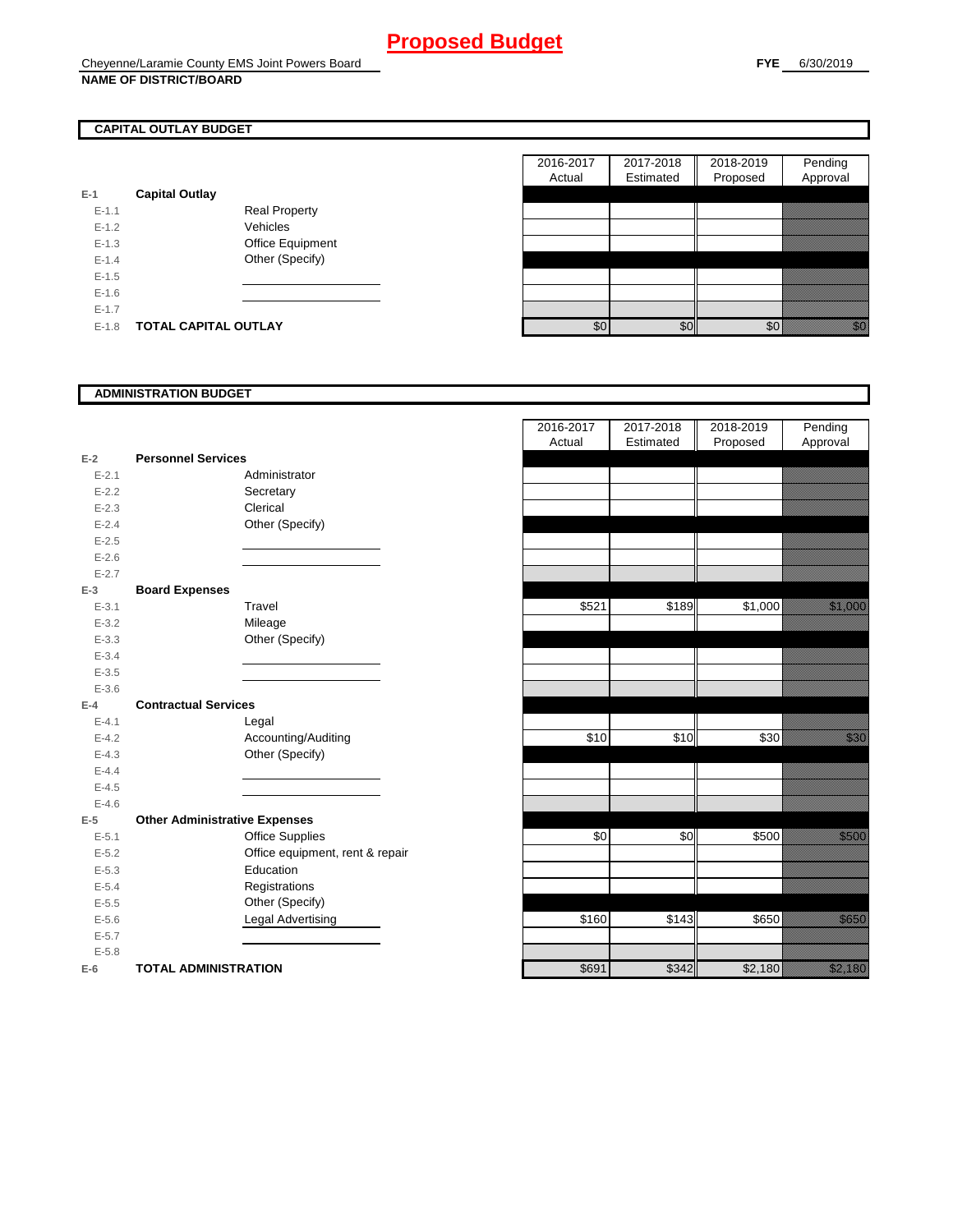## **CAPITAL OUTLAY BUDGET**

| E-1       | <b>Capital Outlay</b> |                         |
|-----------|-----------------------|-------------------------|
| $E - 1.1$ |                       | Real Property           |
| $F-12$    |                       | Vehicles                |
| $F-1.3$   |                       | <b>Office Equipment</b> |
| $F-14$    |                       | Other (Specify)         |
| $F-1.5$   |                       |                         |
| $F-16$    |                       |                         |
| $F-17$    |                       |                         |
| F-18      | TOTAL CAPITAL OUTLAY  |                         |

|           |                             |                      | 2016-2017 | 2017-2018 | 2018-2019 | Pending        |
|-----------|-----------------------------|----------------------|-----------|-----------|-----------|----------------|
|           |                             |                      | Actual    | Estimated | Proposed  | Approval       |
|           | <b>Capital Outlay</b>       |                      |           |           |           |                |
| $E - 1.1$ |                             | <b>Real Property</b> |           |           |           |                |
| $E - 1.2$ |                             | Vehicles             |           |           |           |                |
| $E-1.3$   |                             | Office Equipment     |           |           |           |                |
| $E - 1.4$ |                             | Other (Specify)      |           |           |           |                |
| $E-1.5$   |                             |                      |           |           |           |                |
| $E-1.6$   |                             |                      |           |           |           |                |
| $E - 1.7$ |                             |                      |           |           |           |                |
| $E-1.8$   | <b>TOTAL CAPITAL OUTLAY</b> |                      | \$0       | \$0       | \$0       | elli<br>Martin |

### **ADMINISTRATION BUDGET**

| $E-2$     | <b>Personnel Services</b>            |                                 |
|-----------|--------------------------------------|---------------------------------|
| $E - 2.1$ |                                      | Administrator                   |
| $E - 2.2$ |                                      | Secretary                       |
| $E - 2.3$ |                                      | Clerical                        |
| $E - 2.4$ |                                      | Other (Specify)                 |
| $E - 2.5$ |                                      |                                 |
| $E - 2.6$ |                                      |                                 |
| $E - 2.7$ |                                      |                                 |
| $E-3$     | <b>Board Expenses</b>                |                                 |
| $E - 3.1$ |                                      | Travel                          |
| $E - 3.2$ |                                      | Mileage                         |
| $E - 3.3$ |                                      | Other (Specify)                 |
| $E - 3.4$ |                                      |                                 |
| $E - 3.5$ |                                      |                                 |
| $E - 3.6$ |                                      |                                 |
| $E-4$     | <b>Contractual Services</b>          |                                 |
| $E - 4.1$ |                                      | Legal                           |
| $E-4.2$   |                                      | Accounting/Auditing             |
| $E - 4.3$ |                                      | Other (Specify)                 |
| $E-4.4$   |                                      |                                 |
| $E - 4.5$ |                                      |                                 |
| $E-4.6$   |                                      |                                 |
| $E-5$     | <b>Other Administrative Expenses</b> |                                 |
| $E - 5.1$ |                                      | <b>Office Supplies</b>          |
| $E - 5.2$ |                                      | Office equipment, rent & repair |
| $E - 5.3$ |                                      | Education                       |
| $E - 5.4$ |                                      | Registrations                   |
| $E - 5.5$ |                                      | Other (Specify)                 |
| $E - 5.6$ |                                      | <b>Legal Advertising</b>        |
| $E - 5.7$ |                                      |                                 |
| $E - 5.8$ |                                      |                                 |
| $E-6$     | <b>TOTAL ADMINISTRATION</b>          |                                 |

|                          |                                      | 2016-2017<br>Actual | 2017-2018<br>Estimated | 2018-2019<br>Proposed | Pending<br>Approval                                                                                                                                                                                                             |
|--------------------------|--------------------------------------|---------------------|------------------------|-----------------------|---------------------------------------------------------------------------------------------------------------------------------------------------------------------------------------------------------------------------------|
| Ż                        | <b>Personnel Services</b>            |                     |                        |                       |                                                                                                                                                                                                                                 |
| $E - 2.1$                | Administrator                        |                     |                        |                       |                                                                                                                                                                                                                                 |
| $E - 2.2$                | Secretary                            |                     |                        |                       |                                                                                                                                                                                                                                 |
| $E - 2.3$                | Clerical                             |                     |                        |                       |                                                                                                                                                                                                                                 |
| $E - 2.4$                | Other (Specify)                      |                     |                        |                       |                                                                                                                                                                                                                                 |
| $E - 2.5$                |                                      |                     |                        |                       |                                                                                                                                                                                                                                 |
| $E - 2.6$                |                                      |                     |                        |                       |                                                                                                                                                                                                                                 |
| $E - 2.7$                |                                      |                     |                        |                       |                                                                                                                                                                                                                                 |
| 3                        | <b>Board Expenses</b>                |                     |                        |                       |                                                                                                                                                                                                                                 |
| $E - 3.1$                | Travel                               | \$521               | \$189                  | \$1,000               | <u>tinggi sa</u>                                                                                                                                                                                                                |
| $E - 3.2$                | Mileage                              |                     |                        |                       |                                                                                                                                                                                                                                 |
| $E - 3.3$                | Other (Specify)                      |                     |                        |                       |                                                                                                                                                                                                                                 |
| $E - 3.4$                |                                      |                     |                        |                       |                                                                                                                                                                                                                                 |
| $E - 3.5$                |                                      |                     |                        |                       |                                                                                                                                                                                                                                 |
| $E - 3.6$                |                                      |                     |                        |                       |                                                                                                                                                                                                                                 |
| ı.                       | <b>Contractual Services</b>          |                     |                        |                       |                                                                                                                                                                                                                                 |
| $E - 4.1$                | Legal                                |                     |                        |                       |                                                                                                                                                                                                                                 |
| $E - 4.2$                | Accounting/Auditing                  | \$10                | \$10                   | \$30                  | <u>tionalisest</u>                                                                                                                                                                                                              |
| $E - 4.3$                | Other (Specify)                      |                     |                        |                       |                                                                                                                                                                                                                                 |
| $E - 4.4$                |                                      |                     |                        |                       |                                                                                                                                                                                                                                 |
| $E - 4.5$                |                                      |                     |                        |                       |                                                                                                                                                                                                                                 |
| $E - 4.6$                |                                      |                     |                        |                       |                                                                                                                                                                                                                                 |
| $\overline{\phantom{a}}$ | <b>Other Administrative Expenses</b> |                     |                        |                       |                                                                                                                                                                                                                                 |
| $E - 5.1$                | <b>Office Supplies</b>               | \$0                 | \$0                    | \$500                 | <u>tik komunistist om de s</u>                                                                                                                                                                                                  |
| $E - 5.2$                | Office equipment, rent & repair      |                     |                        |                       |                                                                                                                                                                                                                                 |
| $E - 5.3$                | Education                            |                     |                        |                       |                                                                                                                                                                                                                                 |
| $E - 5.4$                | Registrations                        |                     |                        |                       |                                                                                                                                                                                                                                 |
| $E - 5.5$                | Other (Specify)                      |                     |                        |                       |                                                                                                                                                                                                                                 |
| $E - 5.6$                | Legal Advertising                    | \$160               | \$143                  | \$650                 | a katalunggal katalunggal katalunggal katalunggal katalunggal katalunggal katalunggal katalunggal katalunggal<br>Katalunggal katalunggal katalunggal katalunggal katalunggal katalunggal katalunggal katalunggal katalunggal ka |
| $E - 5.7$                |                                      |                     |                        |                       |                                                                                                                                                                                                                                 |
| $E - 5.8$                |                                      |                     |                        |                       |                                                                                                                                                                                                                                 |
| ż                        | <b>TOTAL ADMINISTRATION</b>          | \$691               | \$342                  | \$2,180               | <u>i karatifunggan dan dina karatifunggan dari dari dari dari dari dari dalam dalam dalam dalam dalam dalam dala</u>                                                                                                            |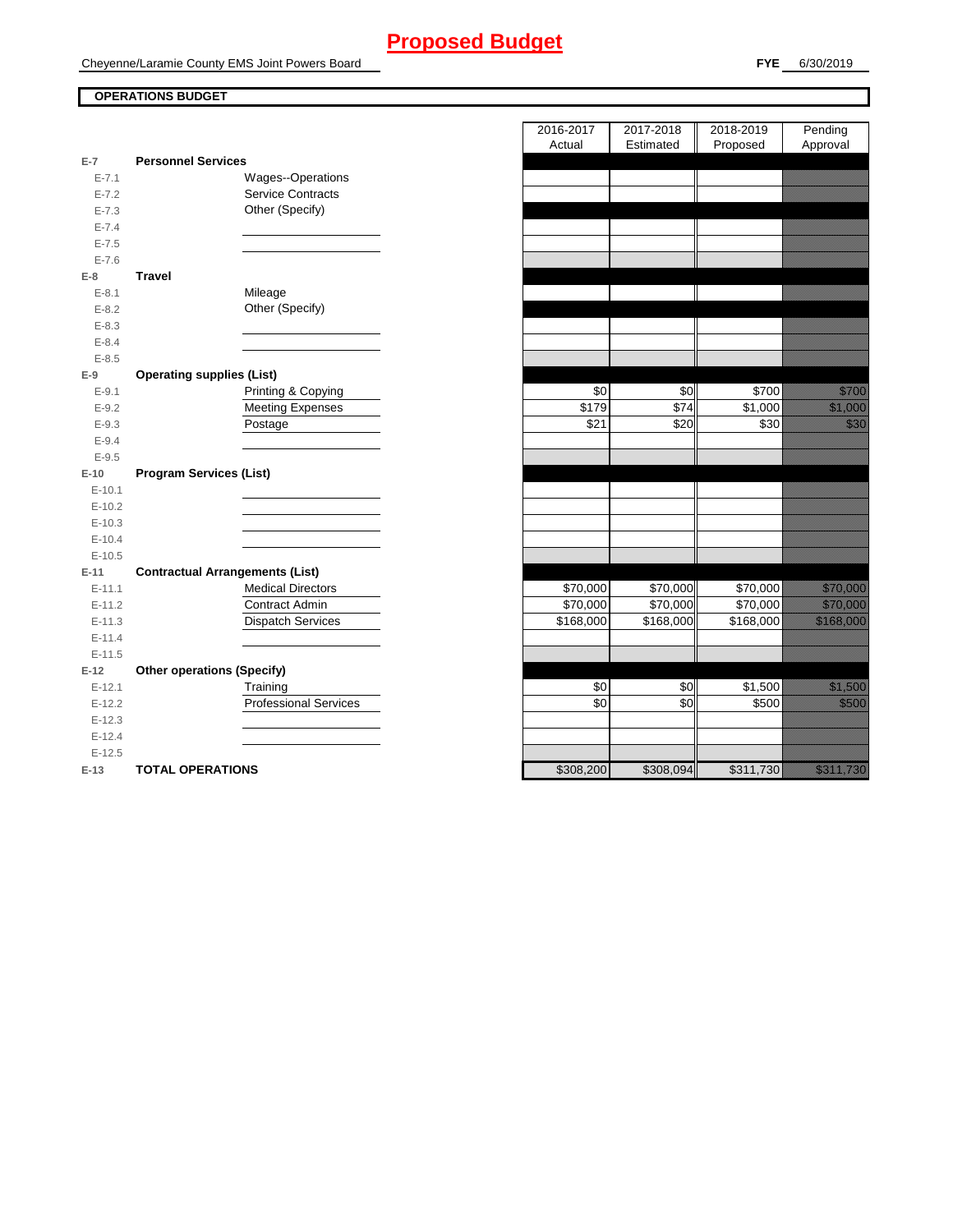# **Proposed Budget**

Cheyenne/Laramie County EMS Joint Powers Board

## **OPERATIONS BUDGET**

| $E-7$      | <b>Personnel Services</b>              |
|------------|----------------------------------------|
| $E - 7.1$  | Wages--Operations                      |
| $E - 7.2$  | <b>Service Contracts</b>               |
| $E - 7.3$  | Other (Specify)                        |
| $E - 7.4$  |                                        |
| $E - 7.5$  |                                        |
| $E - 7.6$  |                                        |
| E-8        | Travel                                 |
| $E-8.1$    | Mileage                                |
| $E - 8.2$  | Other (Specify)                        |
| $E - 8.3$  |                                        |
| $E - 8.4$  |                                        |
| $E - 8.5$  |                                        |
| E-9        | <b>Operating supplies (List)</b>       |
| $E-9.1$    | Printing & Copying                     |
| $E - 9.2$  | <b>Meeting Expenses</b>                |
| $E - 9.3$  | Postage                                |
| $E - 9.4$  |                                        |
| $E - 9.5$  |                                        |
| $E-10$     | <b>Program Services (List)</b>         |
| $E - 10.1$ |                                        |
| $E-10.2$   |                                        |
| $E-10.3$   |                                        |
| $E-10.4$   |                                        |
| $E-10.5$   |                                        |
| $E-11$     | <b>Contractual Arrangements (List)</b> |
| $E - 11.1$ | <b>Medical Directors</b>               |
| $E-11.2$   | Contract Admin                         |
| $E-11.3$   | <b>Dispatch Services</b>               |
| $E-11.4$   |                                        |
| $E-11.5$   |                                        |
| $E-12$     | <b>Other operations (Specify)</b>      |
| $E-12.1$   | Training                               |
| $E-12.2$   | <b>Professional Services</b>           |
| $E-12.3$   |                                        |
| $E-12.4$   |                                        |
| $E-12.5$   |                                        |
| $E-13$     | <b>TOTAL OPERATIONS</b>                |

|           |                                        | 2016-2017<br>Actual | 2017-2018<br>Estimated | 2018-2019<br>Proposed | Pending<br>Approval                                                                                                                                                                                                              |
|-----------|----------------------------------------|---------------------|------------------------|-----------------------|----------------------------------------------------------------------------------------------------------------------------------------------------------------------------------------------------------------------------------|
| $E-7$     | <b>Personnel Services</b>              |                     |                        |                       |                                                                                                                                                                                                                                  |
| $E - 7.1$ | Wages--Operations                      |                     |                        |                       |                                                                                                                                                                                                                                  |
| $E - 7.2$ | <b>Service Contracts</b>               |                     |                        |                       |                                                                                                                                                                                                                                  |
| $E - 7.3$ | Other (Specify)                        |                     |                        |                       |                                                                                                                                                                                                                                  |
| $E - 7.4$ |                                        |                     |                        |                       |                                                                                                                                                                                                                                  |
| $E - 7.5$ |                                        |                     |                        |                       |                                                                                                                                                                                                                                  |
| $E - 7.6$ |                                        |                     |                        |                       |                                                                                                                                                                                                                                  |
| E-8       | <b>Travel</b>                          |                     |                        |                       |                                                                                                                                                                                                                                  |
| $E - 8.1$ | Mileage                                |                     |                        |                       |                                                                                                                                                                                                                                  |
| $E - 8.2$ | Other (Specify)                        |                     |                        |                       |                                                                                                                                                                                                                                  |
| $E - 8.3$ |                                        |                     |                        |                       |                                                                                                                                                                                                                                  |
| $E - 8.4$ |                                        |                     |                        |                       |                                                                                                                                                                                                                                  |
| $E - 8.5$ |                                        |                     |                        |                       |                                                                                                                                                                                                                                  |
| E-9       | <b>Operating supplies (List)</b>       |                     |                        |                       |                                                                                                                                                                                                                                  |
| $E - 9.1$ | Printing & Copying                     | \$0                 | \$0                    | \$700                 | <u>ti ka</u>                                                                                                                                                                                                                     |
| $E - 9.2$ | <b>Meeting Expenses</b>                | \$179               | $\sqrt{$74}$           | \$1,000               | <u>e de la construcción de la construcción de la construcción de la construcción de la construcción de la cons</u>                                                                                                               |
| $E - 9.3$ | Postage                                | \$21                | \$20                   | \$30                  | <u>ti k</u>                                                                                                                                                                                                                      |
| $E - 9.4$ |                                        |                     |                        |                       |                                                                                                                                                                                                                                  |
| $E-9.5$   |                                        |                     |                        |                       |                                                                                                                                                                                                                                  |
| $E-10$    | <b>Program Services (List)</b>         |                     |                        |                       |                                                                                                                                                                                                                                  |
| $E-10.1$  |                                        |                     |                        |                       |                                                                                                                                                                                                                                  |
| $E-10.2$  |                                        |                     |                        |                       |                                                                                                                                                                                                                                  |
| $E-10.3$  |                                        |                     |                        |                       |                                                                                                                                                                                                                                  |
| $E-10.4$  |                                        |                     |                        |                       |                                                                                                                                                                                                                                  |
| $E-10.5$  |                                        |                     |                        |                       |                                                                                                                                                                                                                                  |
| $E-11$    | <b>Contractual Arrangements (List)</b> |                     |                        |                       |                                                                                                                                                                                                                                  |
| $E-11.1$  | <b>Medical Directors</b>               | \$70,000            | \$70,000               | \$70,000              | a katalunggal sa katalunggal sa katalunggal sa katalunggal sa katalunggal sa katalunggal sa katalunggal sa kat<br>Katalunggal sa katalunggal sa katalunggal sa katalunggal sa katalunggal sa katalunggal sa katalunggal sa katal |
| $E-11.2$  | Contract Admin                         | \$70,000            | \$70,000               | \$70,000              | <u>till andre sta</u>                                                                                                                                                                                                            |
| $E-11.3$  | <b>Dispatch Services</b>               | \$168,000           | \$168,000              | \$168,000             | <u> Kabupatèn Bandaran Bandaré</u>                                                                                                                                                                                               |
| $E-11.4$  |                                        |                     |                        |                       |                                                                                                                                                                                                                                  |
| $E-11.5$  |                                        |                     |                        |                       |                                                                                                                                                                                                                                  |
| $E-12$    | <b>Other operations (Specify)</b>      |                     |                        |                       |                                                                                                                                                                                                                                  |
| $E-12.1$  | Training                               | \$0                 | \$0                    | \$1,500               | <u>i ka</u>                                                                                                                                                                                                                      |
| $E-12.2$  | <b>Professional Services</b>           | \$0                 | \$0                    | \$500                 | <u>ti ka</u>                                                                                                                                                                                                                     |
| $E-12.3$  |                                        |                     |                        |                       |                                                                                                                                                                                                                                  |
| $E-12.4$  |                                        |                     |                        |                       |                                                                                                                                                                                                                                  |
| $E-12.5$  |                                        |                     |                        |                       |                                                                                                                                                                                                                                  |
| $E-13$    | <b>TOTAL OPERATIONS</b>                | \$308,200           | \$308,094              | \$311,730             | <u>ta kalendari kontrol</u>                                                                                                                                                                                                      |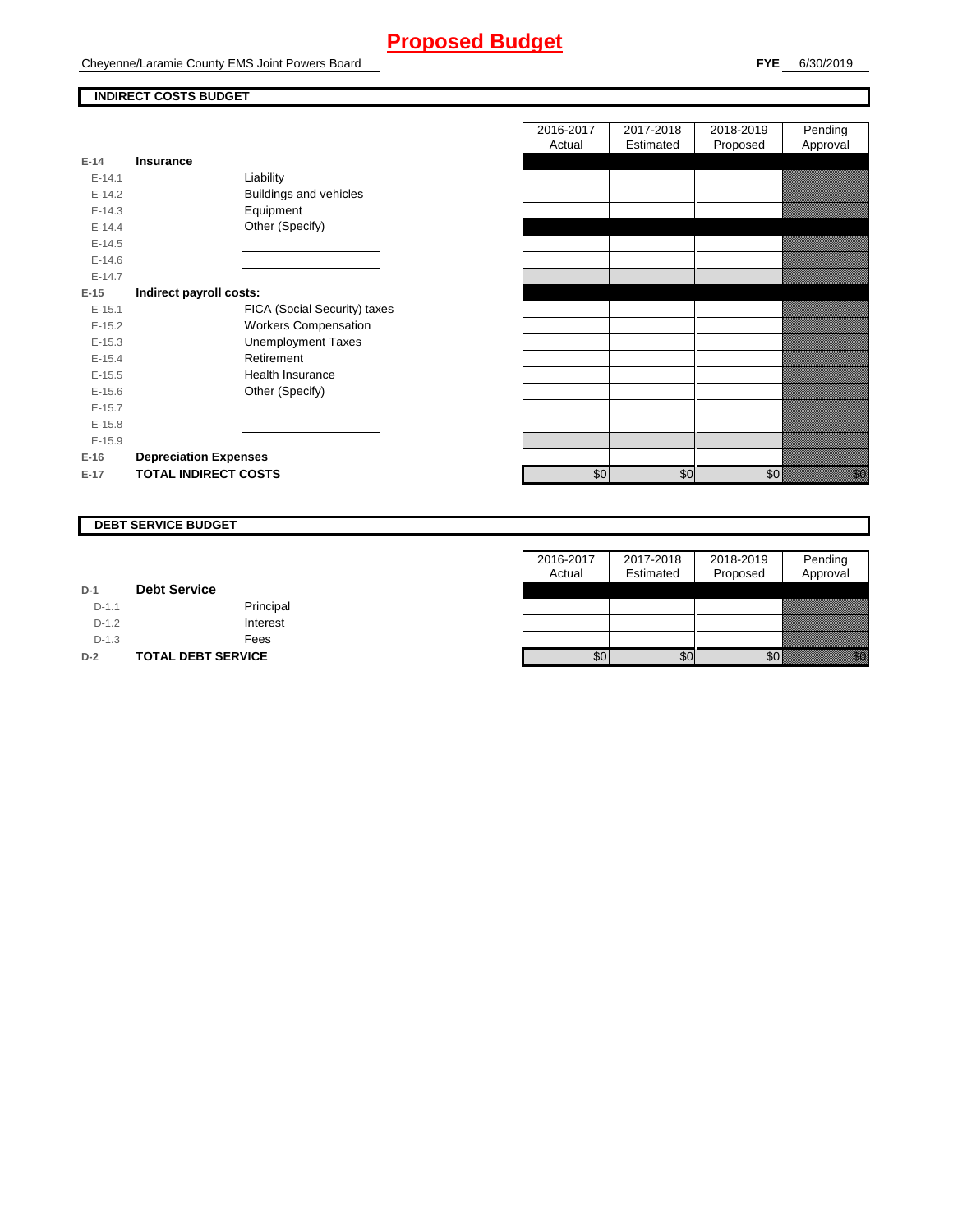# **Proposed Budget**

Cheyenne/Laramie County EMS Joint Powers Board

### **INDIRECT COSTS BUDGET**

| $E-14$     | Insurance                    |
|------------|------------------------------|
| $E-14.1$   | Liability                    |
| $F-142$    | Buildings and vehicles       |
| $F-14.3$   | Equipment                    |
| $E-14.4$   | Other (Specify)              |
| $E-14.5$   |                              |
| $E - 14.6$ |                              |
| $F-147$    |                              |
| $E-15$     | Indirect payroll costs:      |
| $E-15.1$   | FICA (Social Security) taxes |
| $E-15.2$   | <b>Workers Compensation</b>  |
| $E-15.3$   | <b>Unemployment Taxes</b>    |
| $E-15.4$   | Retirement                   |
| $E-15.5$   | Health Insurance             |
| $E-15.6$   | Other (Specify)              |
| $F-157$    |                              |
| $E-15.8$   |                              |
| $E-15.9$   |                              |
| $E-16$     | <b>Depreciation Expenses</b> |
| $E-17$     | <b>TOTAL INDIRECT COSTS</b>  |

|          |                              | 2016-2017 | 2017-2018 | 2018-2019 | Pending                                                                                                                                                                                                                          |
|----------|------------------------------|-----------|-----------|-----------|----------------------------------------------------------------------------------------------------------------------------------------------------------------------------------------------------------------------------------|
|          |                              | Actual    | Estimated | Proposed  | Approval                                                                                                                                                                                                                         |
| $E-14$   | <b>Insurance</b>             |           |           |           |                                                                                                                                                                                                                                  |
| $E-14.1$ | Liability                    |           |           |           |                                                                                                                                                                                                                                  |
| $E-14.2$ | Buildings and vehicles       |           |           |           |                                                                                                                                                                                                                                  |
| $E-14.3$ | Equipment                    |           |           |           |                                                                                                                                                                                                                                  |
| $E-14.4$ | Other (Specify)              |           |           |           |                                                                                                                                                                                                                                  |
| $E-14.5$ |                              |           |           |           |                                                                                                                                                                                                                                  |
| $E-14.6$ |                              |           |           |           |                                                                                                                                                                                                                                  |
| $E-14.7$ |                              |           |           |           |                                                                                                                                                                                                                                  |
| $E-15$   | Indirect payroll costs:      |           |           |           |                                                                                                                                                                                                                                  |
| $E-15.1$ | FICA (Social Security) taxes |           |           |           |                                                                                                                                                                                                                                  |
| $E-15.2$ | <b>Workers Compensation</b>  |           |           |           |                                                                                                                                                                                                                                  |
| $E-15.3$ | <b>Unemployment Taxes</b>    |           |           |           |                                                                                                                                                                                                                                  |
| $E-15.4$ | Retirement                   |           |           |           |                                                                                                                                                                                                                                  |
| $E-15.5$ | <b>Health Insurance</b>      |           |           |           |                                                                                                                                                                                                                                  |
| $E-15.6$ | Other (Specify)              |           |           |           |                                                                                                                                                                                                                                  |
| $E-15.7$ |                              |           |           |           |                                                                                                                                                                                                                                  |
| $E-15.8$ |                              |           |           |           |                                                                                                                                                                                                                                  |
| $E-15.9$ |                              |           |           |           |                                                                                                                                                                                                                                  |
| $E-16$   | <b>Depreciation Expenses</b> |           |           |           |                                                                                                                                                                                                                                  |
| E-17     | <b>TOTAL INDIRECT COSTS</b>  | \$0       | \$0       | \$0       | en de la familie de la familie de la familie de la familie de la familie de la familie de la familie de la fam<br>Construction de la familie de la familie de la familie de la familie de la familie de la familie de la familie |
|          |                              |           |           |           |                                                                                                                                                                                                                                  |

#### **DEBT SERVICE BUDGET**

|         |                           | 2016-2017 | 2017-2018 | 2018-2019 | Pending       |
|---------|---------------------------|-----------|-----------|-----------|---------------|
|         |                           | Actual    | Estimated | Proposed  | Approval      |
| $D-1$   | <b>Debt Service</b>       |           |           |           |               |
| $D-1.1$ | Principal                 |           |           |           |               |
| $D-1.2$ | Interest                  |           |           |           |               |
| $D-1.3$ | Fees                      |           |           |           |               |
| $D-2$   | <b>TOTAL DEBT SERVICE</b> | \$0       | \$0       | \$0       | e de la final |